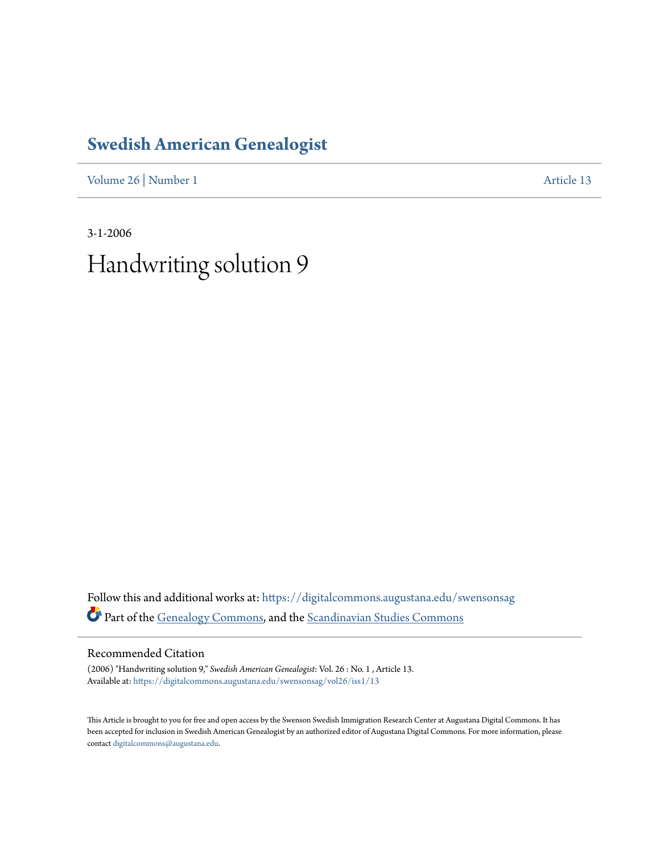## **[Swedish American Genealogist](https://digitalcommons.augustana.edu/swensonsag?utm_source=digitalcommons.augustana.edu%2Fswensonsag%2Fvol26%2Fiss1%2F13&utm_medium=PDF&utm_campaign=PDFCoverPages)**

[Volume 26](https://digitalcommons.augustana.edu/swensonsag/vol26?utm_source=digitalcommons.augustana.edu%2Fswensonsag%2Fvol26%2Fiss1%2F13&utm_medium=PDF&utm_campaign=PDFCoverPages) | [Number 1](https://digitalcommons.augustana.edu/swensonsag/vol26/iss1?utm_source=digitalcommons.augustana.edu%2Fswensonsag%2Fvol26%2Fiss1%2F13&utm_medium=PDF&utm_campaign=PDFCoverPages) [Article 13](https://digitalcommons.augustana.edu/swensonsag/vol26/iss1/13?utm_source=digitalcommons.augustana.edu%2Fswensonsag%2Fvol26%2Fiss1%2F13&utm_medium=PDF&utm_campaign=PDFCoverPages)

3-1-2006 Handwriting solution 9

Follow this and additional works at: [https://digitalcommons.augustana.edu/swensonsag](https://digitalcommons.augustana.edu/swensonsag?utm_source=digitalcommons.augustana.edu%2Fswensonsag%2Fvol26%2Fiss1%2F13&utm_medium=PDF&utm_campaign=PDFCoverPages) Part of the [Genealogy Commons](http://network.bepress.com/hgg/discipline/1342?utm_source=digitalcommons.augustana.edu%2Fswensonsag%2Fvol26%2Fiss1%2F13&utm_medium=PDF&utm_campaign=PDFCoverPages), and the [Scandinavian Studies Commons](http://network.bepress.com/hgg/discipline/485?utm_source=digitalcommons.augustana.edu%2Fswensonsag%2Fvol26%2Fiss1%2F13&utm_medium=PDF&utm_campaign=PDFCoverPages)

Recommended Citation

(2006) "Handwriting solution 9," *Swedish American Genealogist*: Vol. 26 : No. 1 , Article 13. Available at: [https://digitalcommons.augustana.edu/swensonsag/vol26/iss1/13](https://digitalcommons.augustana.edu/swensonsag/vol26/iss1/13?utm_source=digitalcommons.augustana.edu%2Fswensonsag%2Fvol26%2Fiss1%2F13&utm_medium=PDF&utm_campaign=PDFCoverPages)

This Article is brought to you for free and open access by the Swenson Swedish Immigration Research Center at Augustana Digital Commons. It has been accepted for inclusion in Swedish American Genealogist by an authorized editor of Augustana Digital Commons. For more information, please contact [digitalcommons@augustana.edu.](mailto:digitalcommons@augustana.edu)